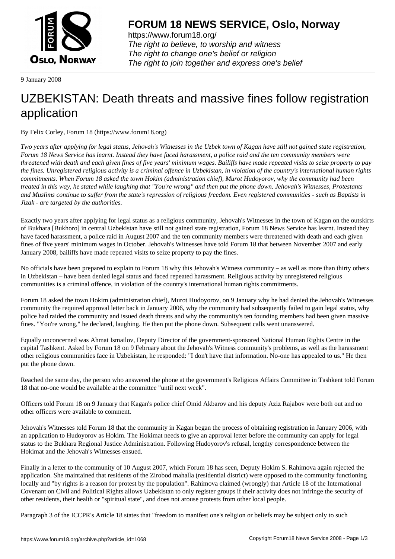

https://www.forum18.org/ The right to believe, to worship and witness The right to change one's belief or religion [The right to join together a](https://www.forum18.org/)nd express one's belief

9 January 2008

## [UZBEKISTAN:](https://www.forum18.org) Death threats and massive fines follow registration application

By Felix Corley, Forum 18 (https://www.forum18.org)

*Two years after applying for legal status, Jehovah's Witnesses in the Uzbek town of Kagan have still not gained state registration, Forum 18 News Service has learnt. Instead they have faced harassment, a police raid and the ten community members were threatened with death and each given fines of five years' minimum wages. Bailiffs have made repeated visits to seize property to pay the fines. Unregistered religious activity is a criminal offence in Uzbekistan, in violation of the country's international human rights commitments. When Forum 18 asked the town Hokim (administration chief), Murot Hudoyorov, why the community had been treated in this way, he stated while laughing that "You're wrong" and then put the phone down. Jehovah's Witnesses, Protestants and Muslims continue to suffer from the state's repression of religious freedom. Even registered communities - such as Baptists in Jizak - are targeted by the authorities.*

Exactly two years after applying for legal status as a religious community, Jehovah's Witnesses in the town of Kagan on the outskirts of Bukhara [Bukhoro] in central Uzbekistan have still not gained state registration, Forum 18 News Service has learnt. Instead they have faced harassment, a police raid in August 2007 and the ten community members were threatened with death and each given fines of five years' minimum wages in October. Jehovah's Witnesses have told Forum 18 that between November 2007 and early January 2008, bailiffs have made repeated visits to seize property to pay the fines.

No officials have been prepared to explain to Forum 18 why this Jehovah's Witness community – as well as more than thirty others in Uzbekistan – have been denied legal status and faced repeated harassment. Religious activity by unregistered religious communities is a criminal offence, in violation of the country's international human rights commitments.

Forum 18 asked the town Hokim (administration chief), Murot Hudoyorov, on 9 January why he had denied the Jehovah's Witnesses community the required approval letter back in January 2006, why the community had subsequently failed to gain legal status, why police had raided the community and issued death threats and why the community's ten founding members had been given massive fines. "You're wrong," he declared, laughing. He then put the phone down. Subsequent calls went unanswered.

Equally unconcerned was Ahmat Ismailov, Deputy Director of the government-sponsored National Human Rights Centre in the capital Tashkent. Asked by Forum 18 on 9 February about the Jehovah's Witness community's problems, as well as the harassment other religious communities face in Uzbekistan, he responded: "I don't have that information. No-one has appealed to us." He then put the phone down.

Reached the same day, the person who answered the phone at the government's Religious Affairs Committee in Tashkent told Forum 18 that no-one would be available at the committee "until next week".

Officers told Forum 18 on 9 January that Kagan's police chief Omid Akbarov and his deputy Aziz Rajabov were both out and no other officers were available to comment.

Jehovah's Witnesses told Forum 18 that the community in Kagan began the process of obtaining registration in January 2006, with an application to Hudoyorov as Hokim. The Hokimat needs to give an approval letter before the community can apply for legal status to the Bukhara Regional Justice Administration. Following Hudoyorov's refusal, lengthy correspondence between the Hokimat and the Jehovah's Witnesses ensued.

Finally in a letter to the community of 10 August 2007, which Forum 18 has seen, Deputy Hokim S. Rahimova again rejected the application. She maintained that residents of the Zirobod mahalla (residential district) were opposed to the community functioning locally and "by rights is a reason for protest by the population". Rahimova claimed (wrongly) that Article 18 of the International Covenant on Civil and Political Rights allows Uzbekistan to only register groups if their activity does not infringe the security of other residents, their health or "spiritual state", and does not arouse protests from other local people.

Paragraph 3 of the ICCPR's Article 18 states that "freedom to manifest one's religion or beliefs may be subject only to such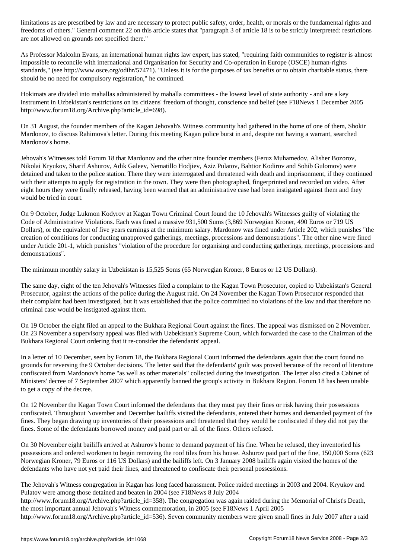. General comment 22 on this article states that "paragraph 3 of article 18 is to be strictle 18 is to be strictle  $\mu$ are not allowed on grounds not specified there."

As Professor Malcolm Evans, an international human rights law expert, has stated, "requiring faith communities to register is almost impossible to reconcile with international and Organisation for Security and Co-operation in Europe (OSCE) human-rights standards," (see http://www.osce.org/odihr/57471). "Unless it is for the purposes of tax benefits or to obtain charitable status, there should be no need for compulsory registration," he continued.

Hokimats are divided into mahallas administered by mahalla committees - the lowest level of state authority - and are a key instrument in Uzbekistan's restrictions on its citizens' freedom of thought, conscience and belief (see F18News 1 December 2005 http://www.forum18.org/Archive.php?article\_id=698).

On 31 August, the founder members of the Kagan Jehovah's Witness community had gathered in the home of one of them, Shokir Mardonov, to discuss Rahimova's letter. During this meeting Kagan police burst in and, despite not having a warrant, searched Mardonov's home.

Jehovah's Witnesses told Forum 18 that Mardonov and the other nine founder members (Feruz Muhamedov, Alisher Bozorov, Nikolai Kryukov, Sharif Ashurov, Adik Galeev, Nematillo Hodjiev, Aziz Pulatov, Bahtior Kodirov and Sohib Gulomov) were detained and taken to the police station. There they were interrogated and threatened with death and imprisonment, if they continued with their attempts to apply for registration in the town. They were then photographed, fingerprinted and recorded on video. After eight hours they were finally released, having been warned that an administrative case had been instigated against them and they would be tried in court.

On 9 October, Judge Lukmon Kodyrov at Kagan Town Criminal Court found the 10 Jehovah's Witnesses guilty of violating the Code of Administrative Violations. Each was fined a massive 931,500 Sums (3,869 Norwegian Kroner, 490 Euros or 719 US Dollars), or the equivalent of five years earnings at the minimum salary. Mardonov was fined under Article 202, which punishes "the creation of conditions for conducting unapproved gatherings, meetings, processions and demonstrations". The other nine were fined under Article 201-1, which punishes "violation of the procedure for organising and conducting gatherings, meetings, processions and demonstrations".

The minimum monthly salary in Uzbekistan is 15,525 Soms (65 Norwegian Kroner, 8 Euros or 12 US Dollars).

The same day, eight of the ten Jehovah's Witnesses filed a complaint to the Kagan Town Prosecutor, copied to Uzbekistan's General Prosecutor, against the actions of the police during the August raid. On 24 November the Kagan Town Prosecutor responded that their complaint had been investigated, but it was established that the police committed no violations of the law and that therefore no criminal case would be instigated against them.

On 19 October the eight filed an appeal to the Bukhara Regional Court against the fines. The appeal was dismissed on 2 November. On 23 November a supervisory appeal was filed with Uzbekistan's Supreme Court, which forwarded the case to the Chairman of the Bukhara Regional Court ordering that it re-consider the defendants' appeal.

In a letter of 10 December, seen by Forum 18, the Bukhara Regional Court informed the defendants again that the court found no grounds for reversing the 9 October decisions. The letter said that the defendants' guilt was proved because of the record of literature confiscated from Mardonov's home "as well as other materials" collected during the investigation. The letter also cited a Cabinet of Ministers' decree of 7 September 2007 which apparently banned the group's activity in Bukhara Region. Forum 18 has been unable to get a copy of the decree.

On 12 November the Kagan Town Court informed the defendants that they must pay their fines or risk having their possessions confiscated. Throughout November and December bailiffs visited the defendants, entered their homes and demanded payment of the fines. They began drawing up inventories of their possessions and threatened that they would be confiscated if they did not pay the fines. Some of the defendants borrowed money and paid part or all of the fines. Others refused.

On 30 November eight bailiffs arrived at Ashurov's home to demand payment of his fine. When he refused, they inventoried his possessions and ordered workmen to begin removing the roof tiles from his house. Ashurov paid part of the fine, 150,000 Soms (623 Norwegian Kroner, 79 Euros or 116 US Dollars) and the bailiffs left. On 3 January 2008 bailiffs again visited the homes of the defendants who have not yet paid their fines, and threatened to confiscate their personal possessions.

The Jehovah's Witness congregation in Kagan has long faced harassment. Police raided meetings in 2003 and 2004. Kryukov and Pulatov were among those detained and beaten in 2004 (see F18News 8 July 2004

http://www.forum18.org/Archive.php?article\_id=358). The congregation was again raided during the Memorial of Christ's Death, the most important annual Jehovah's Witness commemoration, in 2005 (see F18News 1 April 2005

http://www.forum18.org/Archive.php?article\_id=536). Seven community members were given small fines in July 2007 after a raid